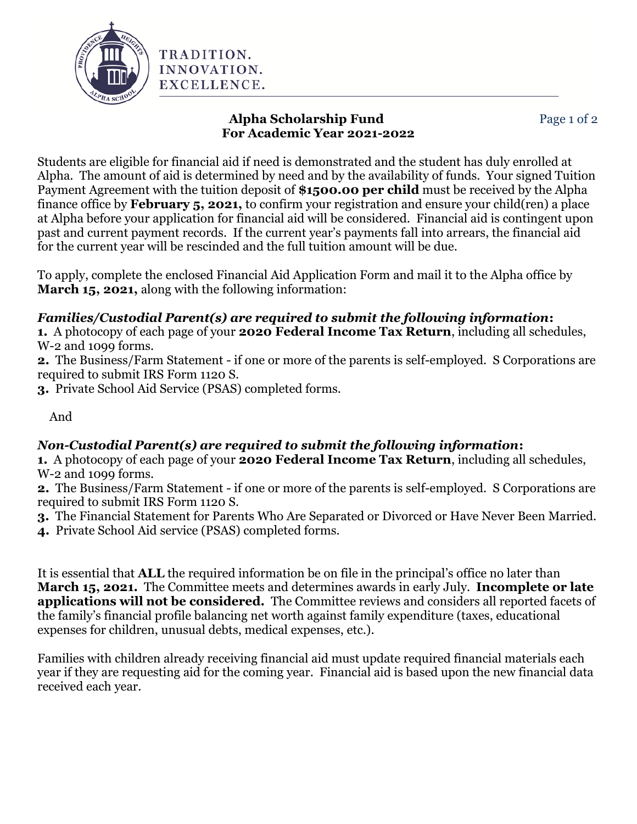

Students are eligible for financial aid if need is demonstrated and the student has duly enrolled at Alpha. The amount of aid is determined by need and by the availability of funds. Your signed Tuition Payment Agreement with the tuition deposit of **\$1500.00 per child** must be received by the Alpha finance office by **February 5, 2021,** to confirm your registration and ensure your child(ren) a place at Alpha before your application for financial aid will be considered. Financial aid is contingent upon past and current payment records. If the current year's payments fall into arrears, the financial aid for the current year will be rescinded and the full tuition amount will be due.

To apply, complete the enclosed Financial Aid Application Form and mail it to the Alpha office by **March 15, 2021,** along with the following information:

## *Families/Custodial Parent(s) are required to submit the following information***:**

**1.** A photocopy of each page of your **2020 Federal Income Tax Return**, including all schedules, W-2 and 1099 forms.

**2.** The Business/Farm Statement - if one or more of the parents is self-employed. S Corporations are required to submit IRS Form 1120 S.

**3.** Private School Aid Service (PSAS) completed forms.

And

## *Non-Custodial Parent(s) are required to submit the following information***:**

**1.** A photocopy of each page of your **2020 Federal Income Tax Return**, including all schedules, W-2 and 1099 forms.

**2.** The Business/Farm Statement - if one or more of the parents is self-employed. S Corporations are required to submit IRS Form 1120 S.

**3.** The Financial Statement for Parents Who Are Separated or Divorced or Have Never Been Married.

**4.** Private School Aid service (PSAS) completed forms.

It is essential that **ALL** the required information be on file in the principal's office no later than **March 15, 2021.** The Committee meets and determines awards in early July. **Incomplete or late applications will not be considered.** The Committee reviews and considers all reported facets of the family's financial profile balancing net worth against family expenditure (taxes, educational expenses for children, unusual debts, medical expenses, etc.).

Families with children already receiving financial aid must update required financial materials each year if they are requesting aid for the coming year. Financial aid is based upon the new financial data received each year.